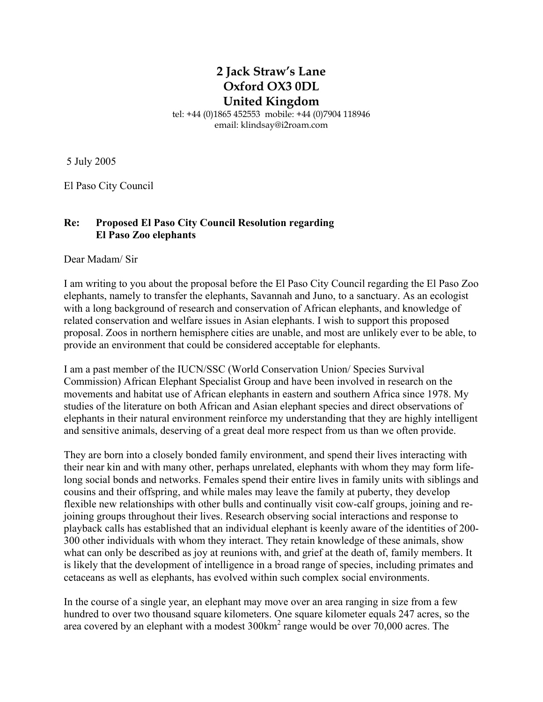## **2 Jack Straw's Lane Oxford OX3 0DL United Kingdom**

tel: +44 (0)1865 452553 mobile: +44 (0)7904 118946 email: klindsay@i2roam.com

5 July 2005

El Paso City Council

## **Re: Proposed El Paso City Council Resolution regarding El Paso Zoo elephants**

Dear Madam/ Sir

I am writing to you about the proposal before the El Paso City Council regarding the El Paso Zoo elephants, namely to transfer the elephants, Savannah and Juno, to a sanctuary. As an ecologist with a long background of research and conservation of African elephants, and knowledge of related conservation and welfare issues in Asian elephants. I wish to support this proposed proposal. Zoos in northern hemisphere cities are unable, and most are unlikely ever to be able, to provide an environment that could be considered acceptable for elephants.

I am a past member of the IUCN/SSC (World Conservation Union/ Species Survival Commission) African Elephant Specialist Group and have been involved in research on the movements and habitat use of African elephants in eastern and southern Africa since 1978. My studies of the literature on both African and Asian elephant species and direct observations of elephants in their natural environment reinforce my understanding that they are highly intelligent and sensitive animals, deserving of a great deal more respect from us than we often provide.

They are born into a closely bonded family environment, and spend their lives interacting with their near kin and with many other, perhaps unrelated, elephants with whom they may form lifelong social bonds and networks. Females spend their entire lives in family units with siblings and cousins and their offspring, and while males may leave the family at puberty, they develop flexible new relationships with other bulls and continually visit cow-calf groups, joining and rejoining groups throughout their lives. Research observing social interactions and response to playback calls has established that an individual elephant is keenly aware of the identities of 200- 300 other individuals with whom they interact. They retain knowledge of these animals, show what can only be described as joy at reunions with, and grief at the death of, family members. It is likely that the development of intelligence in a broad range of species, including primates and cetaceans as well as elephants, has evolved within such complex social environments.

In the course of a single year, an elephant may move over an area ranging in size from a few hundred to over two thousand square kilometers. One square kilometer equals 247 acres, so the area covered by an elephant with a modest  $300 \text{km}^2$  range would be over  $70,000$  acres. The